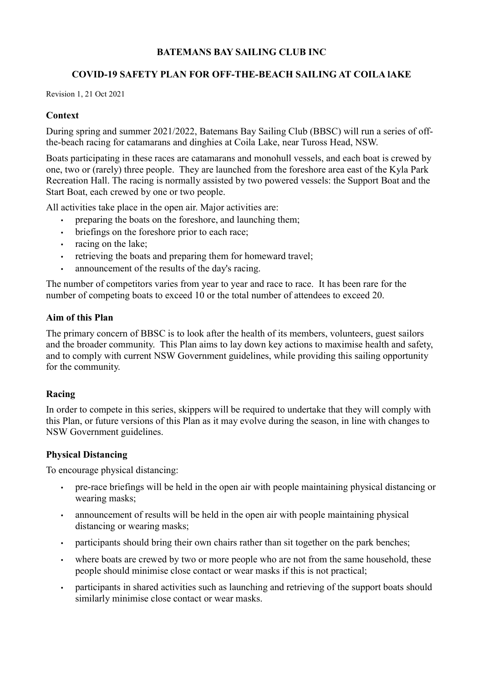# BATEMANS BAY SAILING CLUB INC

# COVID-19 SAFETY PLAN FOR OFF-THE-BEACH SAILING AT COILA lAKE

Revision 1, 21 Oct 2021

### **Context**

During spring and summer 2021/2022, Batemans Bay Sailing Club (BBSC) will run a series of offthe-beach racing for catamarans and dinghies at Coila Lake, near Tuross Head, NSW.

Boats participating in these races are catamarans and monohull vessels, and each boat is crewed by one, two or (rarely) three people. They are launched from the foreshore area east of the Kyla Park Recreation Hall. The racing is normally assisted by two powered vessels: the Support Boat and the Start Boat, each crewed by one or two people.

All activities take place in the open air. Major activities are:

- preparing the boats on the foreshore, and launching them;
- briefings on the foreshore prior to each race:
- racing on the lake;
- retrieving the boats and preparing them for homeward travel;
- announcement of the results of the day's racing.

The number of competitors varies from year to year and race to race. It has been rare for the number of competing boats to exceed 10 or the total number of attendees to exceed 20.

### Aim of this Plan

The primary concern of BBSC is to look after the health of its members, volunteers, guest sailors and the broader community. This Plan aims to lay down key actions to maximise health and safety, and to comply with current NSW Government guidelines, while providing this sailing opportunity for the community.

# Racing

In order to compete in this series, skippers will be required to undertake that they will comply with this Plan, or future versions of this Plan as it may evolve during the season, in line with changes to NSW Government guidelines.

#### Physical Distancing

To encourage physical distancing:

- pre-race briefings will be held in the open air with people maintaining physical distancing or wearing masks;
- announcement of results will be held in the open air with people maintaining physical distancing or wearing masks;
- participants should bring their own chairs rather than sit together on the park benches;
- where boats are crewed by two or more people who are not from the same household, these people should minimise close contact or wear masks if this is not practical;
- participants in shared activities such as launching and retrieving of the support boats should similarly minimise close contact or wear masks.